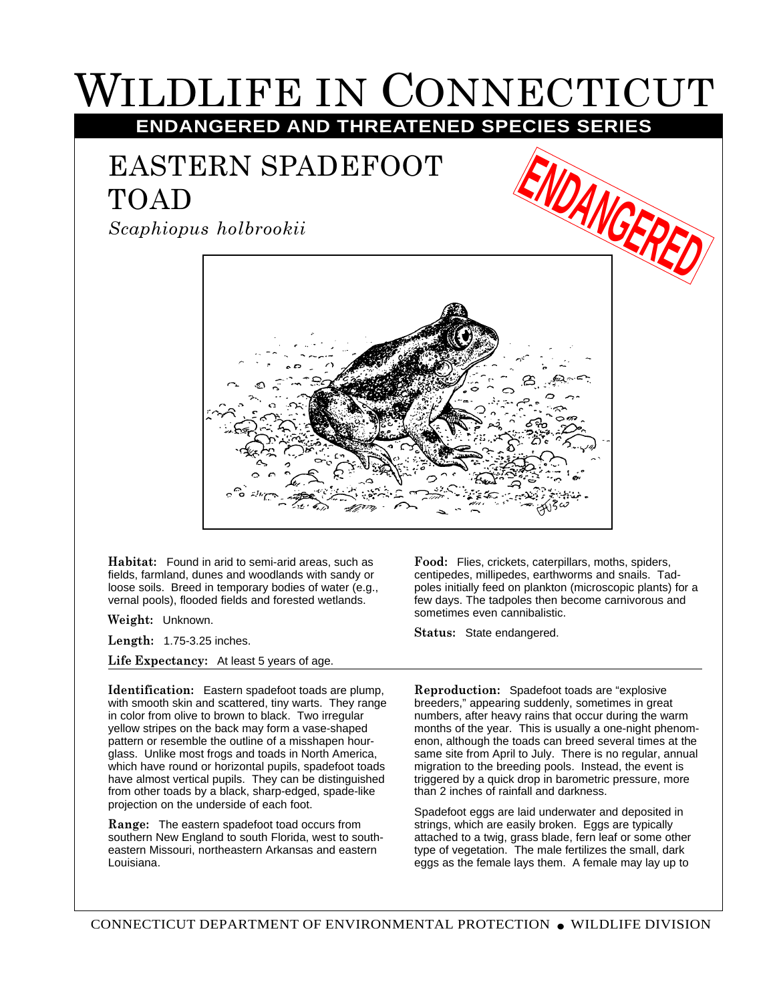## WILDLIFE IN CONNECTICUT **ENDANGERED AND THREATENED SPECIES SERIES**

## EASTERN SPADEFOOT TOAD

*Scaphiopus holbrookii*



**Habitat:** Found in arid to semi-arid areas, such as fields, farmland, dunes and woodlands with sandy or loose soils. Breed in temporary bodies of water (e.g., vernal pools), flooded fields and forested wetlands.

**Weight:** Unknown.

**Length:** 1.75-3.25 inches.

**Life Expectancy:** At least 5 years of age.

**Identification:** Eastern spadefoot toads are plump, with smooth skin and scattered, tiny warts. They range in color from olive to brown to black. Two irregular yellow stripes on the back may form a vase-shaped pattern or resemble the outline of a misshapen hourglass. Unlike most frogs and toads in North America, which have round or horizontal pupils, spadefoot toads have almost vertical pupils. They can be distinguished from other toads by a black, sharp-edged, spade-like projection on the underside of each foot.

**Range:** The eastern spadefoot toad occurs from southern New England to south Florida, west to southeastern Missouri, northeastern Arkansas and eastern Louisiana.

**Food:** Flies, crickets, caterpillars, moths, spiders, centipedes, millipedes, earthworms and snails. Tadpoles initially feed on plankton (microscopic plants) for a few days. The tadpoles then become carnivorous and sometimes even cannibalistic.

**Status:** State endangered.

**Reproduction:** Spadefoot toads are "explosive breeders," appearing suddenly, sometimes in great numbers, after heavy rains that occur during the warm months of the year. This is usually a one-night phenomenon, although the toads can breed several times at the same site from April to July. There is no regular, annual migration to the breeding pools. Instead, the event is triggered by a quick drop in barometric pressure, more than 2 inches of rainfall and darkness.

Spadefoot eggs are laid underwater and deposited in strings, which are easily broken. Eggs are typically attached to a twig, grass blade, fern leaf or some other type of vegetation. The male fertilizes the small, dark eggs as the female lays them. A female may lay up to